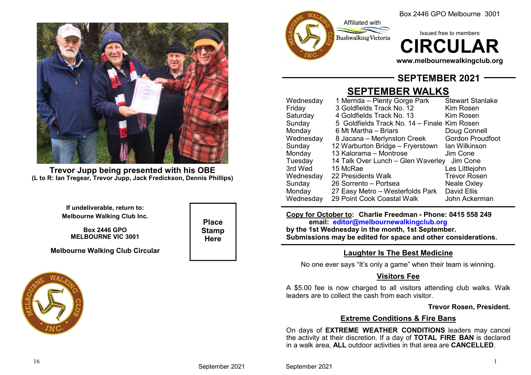

**Trevor Jupp being presented with his OBE(L to R: Ian Tregear, Trevor Jupp, Jack Fredickson, Dennis Phillips)**

> **If undeliverable, return to:Melbourne Walking Club Inc.**

**Box 2446 GPOMELBOURNE VIC 3001**

**Melbourne Walking Club Circular**





Box 2446 GPO Melbourne 3001

Issued free to members**IRCULAR** 

**www.melbournewalkingclub.org**

## **SEPTEMBER 2021**

# **SEPTEMBER WALKS**

| Wednesday | 1 Mernda – Plenty Gorge Park                 | <b>Stewart Stanlake</b> |
|-----------|----------------------------------------------|-------------------------|
| Friday    | 3 Goldfields Track No. 12                    | Kim Rosen               |
| Saturday  | 4 Goldfields Track No. 13                    | Kim Rosen               |
| Sunday    | 5 Goldfields Track No. 14 – Finale Kim Rosen |                         |
| Monday    | 6 Mt Martha – Briars                         | Doug Connell            |
| Wednesday | 8 Jacana – Merlynston Creek                  | <b>Gordon Proudfoot</b> |
| Sunday    | 12 Warburton Bridge - Fryerstown             | lan Wilkinson           |
| Monday    | 13 Kalorama - Montrose                       | Jim Cone                |
| Tuesday   | 14 Talk Over Lunch - Glen Waverley           | Jim Cone                |
| 3rd Wed   | 15 McRae                                     | Les Littlejohn          |
| Wednesday | 22 Presidents Walk                           | <b>Trevor Rosen</b>     |
| Sunday    | 26 Sorrento - Portsea                        | <b>Neale Oxley</b>      |
| Monday    | 27 Easy Metro – Westerfolds Park             | <b>David Ellis</b>      |
| Wednesday | 29 Point Cook Coastal Walk                   | John Ackerman           |
|           |                                              |                         |

**Copy for October to: Charlie Freedman - Phone: 0415 558 249email: editor@melbournewalkingclub.org**

 **by the 1st Wednesday in the month, 1st September.Submissions may be edited for space and other considerations.**

## **Laughter Is The Best Medicine**

No one ever says "It's only a game" when their team is winning.

## **Visitors Fee**

A \$5.00 fee is now charged to all visitors attending club walks. Walk leaders are to collect the cash from each visitor.

### **Trevor Rosen, President.**

## **Extreme Conditions & Fire Bans**

 On days of **EXTREME WEATHER CONDITIONS** leaders may cancel the activity at their discretion. If a day of **TOTAL FIRE BAN** is declared in a walk area, **ALL** outdoor activities in that area are **CANCELLED**.

September 2021

**Place StampHere**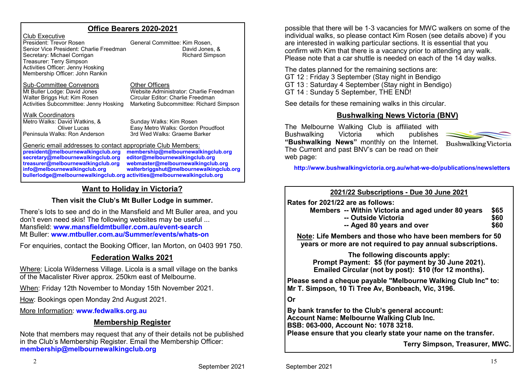### **Office Bearers 2020-2021**

Club Executive President: Trevor RosenSenior Vice President: Charlie Freedman Secretary: Michael Corrigan Treasurer: Terry Simpson Activities Officer: Jenny HoskingMembership Officer: John Rankin

 General Committee: Kim Rosen, **Richard Simpson** 

#### Sub-Committee Convenors

 Other Officers Mt Buller Lodge: David Jones Website Administrator: Charlie FreedmanWalter Briggs Hut: Kim Rosen Circular Editor: Charlie Freedman Activities Subcommittee: Jenny HoskingMarketing Subcommittee: Richard Simpson

#### Walk CoordinatorsMetro Walks: David Watkins, &

 Sunday Walks: Kim Rosen Oliver Lucas Easy Metro Walks: Gordon Proudfoot Peninsula Walks: Ron Anderson3rd Wed Walks: Graeme Barker

#### Generic email addresses to contact appropriate Club Members:

**president@melbournewalkingclub.orgsecretary@melbournewalkingclub.orgtreasurer@melbournewalkingclub.orginfo@melbournewalkingclub.orgbullerlodge@melbournewalkingclub.org activities@melbournewalkingclub.org**

 **membership@melbournewalkingclub.org editor@melbournewalkingclub.org webmaster@melbournewalkingclub.org walterbriggshut@melbournewalkingclub.org**

## **Want to Holiday in Victoria?**

### **Then visit the Club's Mt Buller Lodge in summer.**

There's lots to see and do in the Mansfield and Mt Buller area, and you don't even need skis! The following websites may be useful ...Mansfield: **www.mansfieldmtbuller.com.au/event-search**Mt Buller: **www.mtbuller.com.au/Summer/events/whats-on**

For enquiries, contact the Booking Officer, Ian Morton, on 0403 991 750.

## **Federation Walks 2021**

Where: Licola Wilderness Village. Licola is a small village on the banks of the Macalister River approx. 250km east of Melbourne.

When: Friday 12th November to Monday 15th November 2021.

How: Bookings open Monday 2nd August 2021.

More Information: **www.fedwalks.org.au**

## **Membership Register**

Note that members may request that any of their details not be published in the Club's Membership Register. Email the Membership Officer:**membership@melbournewalkingclub.org**

possible that there will be 1-3 vacancies for MWC walkers on some of the individual walks, so please contact Kim Rosen (see details above) if you are interested in walking particular sections. It is essential that you confirm with Kim that there is a vacancy prior to attending any walk. Please note that a car shuttle is needed on each of the 14 day walks.

The dates planned for the remaining sections are: GT 12 : Friday 3 September (Stay night in Bendigo GT 13 : Saturday 4 September (Stay night in Bendigo)GT 14 : Sunday 5 September, THE END!

See details for these remaining walks in this circular.

## **Bushwalking News Victoria (BNV)**

The Melbourne Walking Club is affiliated with publishes Bushwalking Victoria which **"Bushwalking News"** monthly on the Internet. The Current and past BNV's can be read on their web page:



**http://www.bushwalkingvictoria.org.au/what-we-do/publications/newsletters**

**2021/22 Subscriptions - Due 30 June 2021**

**Rates for 2021/22 are as follows:**

- **Members -- Within Victoria and aged under 80 years \$65**
	- **-- Outside Victoriaa** \$60
	- **-- Aged 80 years and over**r \$60

**Note: Life Members and those who have been members for 50 years or more are not required to pay annual subscriptions.**

**The following discounts apply: Prompt Payment: \$5 (for payment by 30 June 2021).Emailed Circular (not by post): \$10 (for 12 months).**

**Please send a cheque payable "Melbourne Walking Club Inc" to:Mr T. Simpson, 10 Ti Tree Av, Bonbeach, Vic, 3196.**

**Or**

**By bank transfer to the Club's general account:Account Name: Melbourne Walking Club Inc.BSB: 063-000, Account No: 1078 3218.Please ensure that you clearly state your name on the transfer.**

**Terry Simpson, Treasurer, MWC.**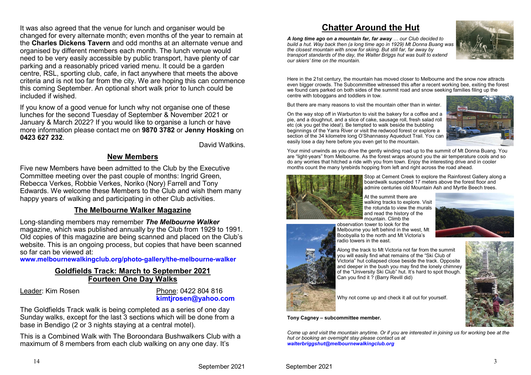It was also agreed that the venue for lunch and organiser would be changed for every alternate month; even months of the year to remain at the **Charles Dickens Tavern** and odd months at an alternate venue and organised by different members each month. The lunch venue would need to be very easily accessible by public transport, have plenty of car parking and a reasonably priced varied menu. It could be a garden centre, RSL, sporting club, cafe, in fact anywhere that meets the above criteria and is not too far from the city. We are hoping this can commence this coming September. An optional short walk prior to lunch could be included if wished.

If you know of a good venue for lunch why not organise one of these lunches for the second Tuesday of September & November 2021 or January & March 2022? If you would like to organise a lunch or have more information please contact me on **9870 3782** or **Jenny Hosking** on **0423 627 232**.

David Watkins.

## **New Members**

Five new Members have been admitted to the Club by the Executive Committee meeting over the past couple of months: Ingrid Green, Rebecca Verkes, Robbie Verkes, Noriko (Nory) Farrell and Tony Edwards. We welcome these Members to the Club and wish them many happy years of walking and participating in other Club activities.

### **The Melbourne Walker Magazine**

Long-standing members may remember *The Melbourne Walker* magazine, which was published annually by the Club from 1929 to 1991. Old copies of this magazine are being scanned and placed on the Club's website. This is an ongoing process, but copies that have been scanned so far can be viewed at:

**www.melbournewalkingclub.org/photo-gallery/the-melbourne-walker**

## **Goldfields Track: March to September 2021Fourteen One Day Walks**

Leader: Kim Rosen

 Phone: 0422 804 816 **kimtjrosen@yahoo.com**

 The Goldfields Track walk is being completed as a series of one day Sunday walks, except for the last 3 sections which will be done from a base in Bendigo (2 or 3 nights staying at a central motel).

This is a Combined Walk with The Boroondara Bushwalkers Club with a maximum of 8 members from each club walking on any one day. It's

## **Chatter Around the Hut**

*A long time ago on a mountain far, far away … our Club decided to build a hut. Way back then (a long time ago in 1929) Mt Donna Buang was the closest mountain with snow for skiing. But still far, far away by transport standards of the day, the Walter Briggs hut was built to extend our skiers' time on the mountain.*



Here in the 21st century, the mountain has moved closer to Melbourne and the snow now attracts even bigger crowds. The Subcommittee witnessed this after a recent working bee, exiting the forest we found cars parked on both sides of the summit road and snow seeking families filing up the centre with toboggans and toddlers in tow.

But there are many reasons to visit the mountain other than in winter.

On the way stop off in Warburton to visit the bakery for a coffee and a pie, and a doughnut, and a slice of cake, sausage roll, fresh salad roll etc (ok you get the idea!). Be tempted to walk beside the bubbling beginnings of the Yarra River or visit the redwood forest or explore a section of the 34 kilometre long O'Shannassy Aqueduct Trail. You can easily lose a day here before you even get to the mountain.



Your mind unwinds as you drive the gently winding road up to the summit of Mt Donna Buang. You are "light-years" from Melbourne. As the forest wraps around you the air temperature cools and so do any worries that hitched a ride with you from town. Enjoy the interesting drive and in cooler months count the many lyrebirds hopping from left and right across the road ahead.



Stop at Cement Creek to explore the Rainforest Gallery along a boardwalk suspended 17 meters above the forest floor and admire centuries old Mountain Ash and Myrtle Beech trees.

At the summit there are walking tracks to explore. Visit the rotunda to view the murals and read the history of the mountain. Climb the

 observation tower to look for the Melbourne you left behind in the west, Mt Boobyalla to the north and Mt Victoria's radio towers in the east.



Along the track to Mt Victoria not far from the summit you will easily find what remains of the "Ski Club of Victoria" hut collapsed close beside the track. Opposite and deeper in the bush you may find the lonely chimney of the "University Ski Club" hut. It's hard to spot though. Can you find it ? (Barry Revill did)

Why not come up and check it all out for yourself.

**Tony Cagney – subcommittee member.**

*Come up and visit the mountain anytime. Or if you are interested in joining us for working bee at the hut or booking an overnight stay please contact us atwalterbriggshut@melbournewalkingclub.org*



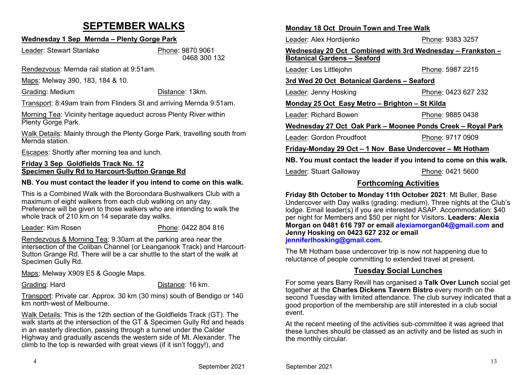# **SEPTEMBER WALKS**

## **Wednesday 1 Sep Mernda – Plenty Gorge Park**

Leader: Stewart Stanlake

 Phone: 9870 9061 0468 300 132

Rendezvous: Mernda rail station at 9:51am.

Maps: Melway 390, 183, 184 & 10.

Grading: Medium

Distance: 13km.

Transport: 8:49am train from Flinders St and arriving Mernda 9:51am.

Morning Tea: Vicinity heritage aqueduct across Plenty River within Plenty Gorge Park.

Walk Details: Mainly through the Plenty Gorge Park, travelling south from Mernda station.

Escapes: Shortly after morning tea and lunch.

### **Friday 3 Sep Goldfields Track No. 12Specimen Gully Rd to Harcourt-Sutton Grange Rd**

### **NB. You must contact the leader if you intend to come on this walk.**

This is a Combined Walk with the Boroondara Bushwalkers Club with a maximum of eight walkers from each club walking on any day. Preference will be given to those walkers who are intending to walk the whole track of 210 km on 14 separate day walks.

Leader: Kim Rosen

### Phone: 0422 804 816

Rendezvous & Morning Tea: 9.30am at the parking area near the intersection of the Coliban Channel (or Leanganook Track) and Harcourt-Sutton Grange Rd. There will be a car shuttle to the start of the walk at Specimen Gully Rd.

Maps: Melway X909 E5 & Google Maps.

Grading: Hard

Distance: 16 km.

Transport: Private car. Approx. 30 km (30 mins) south of Bendigo or 140 km north-west of Melbourne.

Walk Details: This is the 12th section of the Goldfields Track (GT). The walk starts at the intersection of the GT & Specimen Gully Rd and heads in an easterly direction, passing through a tunnel under the Calder Highway and gradually ascends the western side of Mt. Alexander. The climb to the top is rewarded with great views (if it isn't foggy!), and

### **Monday 18 Oct Drouin Town and Tree Walk**

Leader: Alex Hordijenko

Phone: 9383 3257

#### **Wednesday 20 Oct Combined with 3rd Wednesday – Frankston –Botanical Gardens – Seaford**

Leader: Les Littlejohn

Leader: Gordon Proudfoot

Phone: 5987 2215

### **3rd Wed 20 Oct Botanical Gardens – Seaford**

Leader: Jenny HoskingPhone: 0423 627 232

### **Monday 25 Oct Easy Metro – Brighton – St Kilda**

Leader: Richard BowenPhone: 9885 0438

### **Wednesday 27 Oct Oak Park – Moonee Ponds Creek – Royal Park**

Phone: 9717 0909

### **Friday-Monday 29 Oct – 1 Nov Base Undercover – Mt Hotham**

**NB. You must contact the leader if you intend to come on this walk.**

Leader: Stuart Galloway

Phone: 0421 5600

## **Forthcoming Activities**

**Friday 8th October to Monday 11th October 2021**: Mt Buller, Base Undercover with Day walks (grading: medium). Three nights at the Club's lodge. Email leader(s) if you are interested ASAP. Accommodation: \$40 per night for Members and \$50 per night for Visitors. **Leaders: Alexia Morgan on 0481 616 797 or email alexiamorgan04@gmail.com and Jenny Hosking on 0423 627 232 or email jenniferlhosking@gmail.com.**

The Mt Hotham base undercover trip is now not happening due to reluctance of people committing to extended travel at present.

## **Tuesday Social Lunches**

For some years Barry Revill has organised a **Talk Over Lunch** social get together at the **Charles Dickens Tavern Bistro** every month on the second Tuesday with limited attendance. The club survey indicated that a good proportion of the membership are still interested in a club social event.

At the recent meeting of the activities sub-committee it was agreed that these lunches should be classed as an activity and be listed as such in the monthly circular.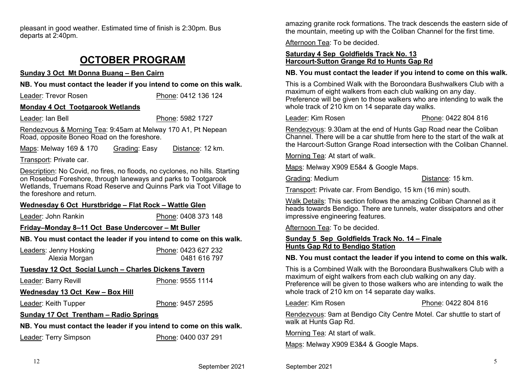pleasant in good weather. Estimated time of finish is 2:30pm. Bus departs at 2:40pm.

# **OCTOBER PROGRAM**

### **Sunday 3 Oct Mt Donna Buang – Ben Cairn**

**NB. You must contact the leader if you intend to come on this walk.**

Leader: Trevor RosenPhone: 0412 136 124

### **Monday 4 Oct Tootgarook Wetlands**

Leader: Ian Bell

Phone: 5982 1727

Rendezvous & Morning Tea: 9:45am at Melway 170 A1, Pt Nepean Road, opposite Boneo Road on the foreshore.

Maps: Melway 169 & 170 Grading: Easy Distance: 12 km.

Transport: Private car.

Description: No Covid, no fires, no floods, no cyclones, no hills. Starting on Rosebud Foreshore, through laneways and parks to Tootgarook Wetlands, Truemans Road Reserve and Quinns Park via Toot Village to the foreshore and return.

### **Wednesday 6 Oct Hurstbridge – Flat Rock – Wattle Glen**

Leader: John Rankin

Phone: 0408 373 148

## **Friday–Monday 8–11 Oct Base Undercover – Mt Buller**

### **NB. You must contact the leader if you intend to come on this walk.**

Leaders: Jenny HoskingPhone: 0423 627 232<br>0481 616 797 Alexia Morgan

### **Tuesday 12 Oct Social Lunch – Charles Dickens Tavern**

Leader: Barry Revill

Phone: 9555 1114

### Wednesday 13 Oct Kew - Box Hill

Leader: Keith Tupper

Phone: 9457 2595

## **Sunday 17 Oct Trentham – Radio Springs**

## **NB. You must contact the leader if you intend to come on this walk.**

Leader: Terry Simpson

Phone: 0400 037 291

amazing granite rock formations. The track descends the eastern side of the mountain, meeting up with the Coliban Channel for the first time.

Afternoon Tea: To be decided.

### **Saturday 4 Sep Goldfields Track No. 13Harcourt-Sutton Grange Rd to Hunts Gap Rd**

### **NB. You must contact the leader if you intend to come on this walk.**

This is a Combined Walk with the Boroondara Bushwalkers Club with a maximum of eight walkers from each club walking on any day. Preference will be given to those walkers who are intending to walk the whole track of 210 km on 14 separate day walks.

Leader: Kim Rosen

Phone: 0422 804 816

Rendezvous: 9.30am at the end of Hunts Gap Road near the Coliban Channel. There will be a car shuttle from here to the start of the walk at the Harcourt-Sutton Grange Road intersection with the Coliban Channel.

Morning Tea: At start of walk.

Maps: Melway X909 E5&4 & Google Maps.

Grading: Medium

Distance: 15 km.

Transport: Private car. From Bendigo, 15 km (16 min) south.

Walk Details: This section follows the amazing Coliban Channel as it heads towards Bendigo. There are tunnels, water dissipators and other impressive engineering features.

Afternoon Tea: To be decided.

### **Sunday 5 Sep Goldfields Track No. 14 – FinaleHunts Gap Rd to Bendigo Station**

### **NB. You must contact the leader if you intend to come on this walk.**

This is a Combined Walk with the Boroondara Bushwalkers Club with a maximum of eight walkers from each club walking on any day. Preference will be given to those walkers who are intending to walk the whole track of 210 km on 14 separate day walks.

Leader: Kim Rosen

Phone: 0422 804 816

Rendezvous: 9am at Bendigo City Centre Motel. Car shuttle to start of walk at Hunts Gap Rd.

Morning Tea: At start of walk.

Maps: Melway X909 E3&4 & Google Maps.

12

September 2021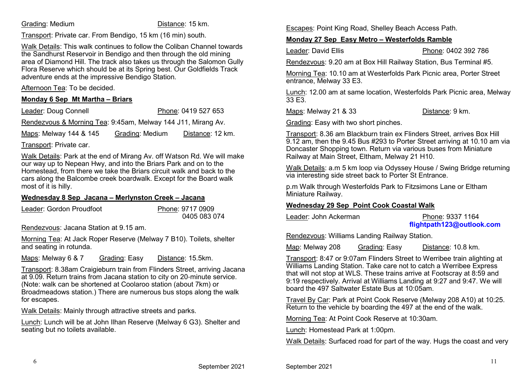### Grading: Medium

Distance: 15 km.

Transport: Private car. From Bendigo, 15 km (16 min) south.

Walk Details: This walk continues to follow the Coliban Channel towards the Sandhurst Reservoir in Bendigo and then through the old mining area of Diamond Hill. The track also takes us through the Salomon Gully Flora Reserve which should be at its Spring best. Our Goldfields Track adventure ends at the impressive Bendigo Station.

Afternoon Tea: To be decided.

### **Monday 6 Sep Mt Martha – Briars**

Leader: Doug ConnellPhone: 0419 527 653

Rendezvous & Morning Tea: 9:45am, Melway 144 J11, Mirang Av.

Maps: Melway 144 & 145 Grading: Medium Distance: 12 km.

Transport: Private car.

Walk Details: Park at the end of Mirang Av. off Watson Rd. We will make our way up to Nepean Hwy, and into the Briars Park and on to the Homestead, from there we take the Briars circuit walk and back to the cars along the Balcombe creek boardwalk. Except for the Board walk most of it is hilly.

### **Wednesday 8 Sep Jacana – Merlynston Creek – Jacana**

Leader: Gordon Proudfoot Phone: 9717 09090405 083 074

Rendezvous: Jacana Station at 9.15 am.

Morning Tea: At Jack Roper Reserve (Melway 7 B10). Toilets, shelter and seating in rotunda.

Maps: Melway 6 & 7 Grading: Easy Distance: 15.5km.

Transport: 8.38am Craigieburn train from Flinders Street, arriving Jacana at 9.09. Return trains from Jacana station to city on 20-minute service. (Note: walk can be shortened at Coolaroo station (about 7km) or Broadmeadows station.) There are numerous bus stops along the walk for escapes.

Walk Details: Mainly through attractive streets and parks.

Lunch: Lunch will be at John Ilhan Reserve (Melway 6 G3). Shelter and seating but no toilets available.

Escapes: Point King Road, Shelley Beach Access Path.

### **Monday 27 Sep Easy Metro – Westerfolds Ramble**

Leader: David Ellis

Phone: 0402 392 786

Rendezvous: 9.20 am at Box Hill Railway Station, Bus Terminal #5.

Morning Tea: 10.10 am at Westerfolds Park Picnic area, Porter Street entrance, Melway 33 E3.

Lunch: 12.00 am at same location, Westerfolds Park Picnic area, Melway 33 E3.

Maps: Melway 21 & 33

Distance: 9 km.

Grading: Easy with two short pinches.

Transport: 8.36 am Blackburn train ex Flinders Street, arrives Box Hill 9.12 am, then the 9.45 Bus #293 to Porter Street arriving at 10.10 am via Doncaster Shopping town. Return via various buses from Miniature Railway at Main Street, Eltham, Melway 21 H10.

Walk Details: a.m 5 km loop via Odyssey House / Swing Bridge returning via interesting side street back to Porter St Entrance.

p.m Walk through Westerfolds Park to Fitzsimons Lane or Eltham Miniature Railway.

### **Wednesday 29 Sep Point Cook Coastal Walk**

Leader: John AckermanPhone: 9337 1164

## **flightpath123@outlook.com**

Rendezvous: Williams Landing Railway Station.

Map: Melway 208 Grading: Easy Distance: 10.8 km.

Transport: 8:47 or 9:07am Flinders Street to Werribee train alighting at Williams Landing Station. Take care not to catch a Werribee Express that will not stop at WLS. These trains arrive at Footscray at 8:59 and 9:19 respectively. Arrival at Williams Landing at 9:27 and 9:47. We will board the 497 Saltwater Estate Bus at 10:05am.

Travel By Car: Park at Point Cook Reserve (Melway 208 A10) at 10:25. Return to the vehicle by boarding the 497 at the end of the walk.

Morning Tea: At Point Cook Reserve at 10:30am.

Lunch: Homestead Park at 1:00pm.

Walk Details: Surfaced road for part of the way. Hugs the coast and very

6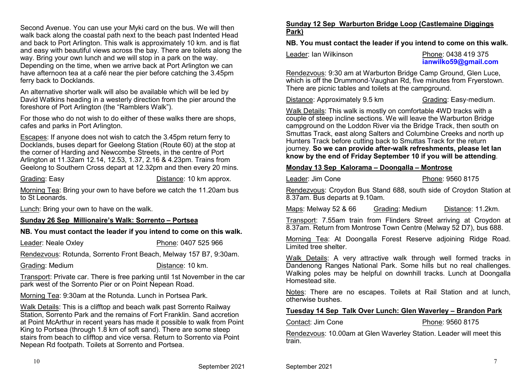Second Avenue. You can use your Myki card on the bus. We will then walk back along the coastal path next to the beach past Indented Head and back to Port Arlington. This walk is approximately 10 km. and is flat and easy with beautiful views across the bay. There are toilets along the way. Bring your own lunch and we will stop in a park on the way. Depending on the time, when we arrive back at Port Arlington we can have afternoon tea at a café near the pier before catching the 3.45pm ferry back to Docklands.

An alternative shorter walk will also be available which will be led by David Watkins heading in a westerly direction from the pier around the foreshore of Port Arlington (the "Ramblers Walk").

For those who do not wish to do either of these walks there are shops, cafes and parks in Port Arlington.

Escapes: If anyone does not wish to catch the 3.45pm return ferry to Docklands, buses depart for Geelong Station (Route 60) at the stop at the corner of Harding and Newcombe Streets, in the centre of Port Arlington at 11.32am 12.14, 12.53, 1.37, 2.16 & 4.23pm. Trains from Geelong to Southern Cross depart at 12.32pm and then every 20 mins.

Grading: Easy

Distance: 10 km approx.

Morning Tea: Bring your own to have before we catch the 11.20am bus to St Leonards.

Lunch: Bring your own to have on the walk.

### **Sunday 26 Sep Millionaire's Walk: Sorrento – Portsea**

### **NB. You must contact the leader if you intend to come on this walk.**

Leader: Neale OxleyPhone: 0407 525 966

Rendezvous: Rotunda, Sorrento Front Beach, Melway 157 B7, 9:30am.

Grading: MediumDistance: 10 km.

Transport: Private car. There is free parking until 1st November in the car park west of the Sorrento Pier or on Point Nepean Road.

Morning Tea: 9:30am at the Rotunda. Lunch in Portsea Park.

Walk Details: This is a clifftop and beach walk past Sorrento Railway Station, Sorrento Park and the remains of Fort Franklin. Sand accretion at Point McArthur in recent years has made it possible to walk from Point King to Portsea (through 1.8 km of soft sand). There are some steep stairs from beach to clifftop and vice versa. Return to Sorrento via Point Nepean Rd footpath. Toilets at Sorrento and Portsea.

## **Sunday 12 Sep Warburton Bridge Loop (Castlemaine Diggings Park)**

**NB. You must contact the leader if you intend to come on this walk.**

Leader: Ian Wilkinson

 Phone: 0438 419 375 **ianwilko59@gmail.com**

 Rendezvous: 9:30 am at Warburton Bridge Camp Ground, Glen Luce, which is off the Drummond-Vaughan Rd, five minutes from Fryerstown. There are picnic tables and toilets at the campground.

Distance: Approximately 9.5 km

Grading: Easy-medium.

Walk Details: This walk is mostly on comfortable 4WD tracks with a couple of steep incline sections. We will leave the Warburton Bridge campground on the Loddon River via the Bridge Track, then south on Smuttas Track, east along Salters and Columbine Creeks and north up Hunters Track before cutting back to Smuttas Track for the return journey. **So we can provide after-walk refreshments, please let Ian know by the end of Friday September 10 if you will be attending**.

## **Monday 13 Sep Kalorama – Doongalla – Montrose**

Leader: Jim Cone

Phone: 9560 8175

Rendezvous: Croydon Bus Stand 688, south side of Croydon Station at 8.37am. Bus departs at 9.10am.

Maps: Melway 52 & 66 Grading: Medium Distance: 11.2km.

Transport: 7.55am train from Flinders Street arriving at Croydon at 8.37am. Return from Montrose Town Centre (Melway 52 D7), bus 688.

Morning Tea: At Doongalla Forest Reserve adjoining Ridge Road. Limited tree shelter.

Walk Details: A very attractive walk through well formed tracks in Dandenong Ranges National Park. Some hills but no real challenges. Walking poles may be helpful on downhill tracks. Lunch at Doongalla Homestead site.

Notes: There are no escapes. Toilets at Rail Station and at lunch, otherwise bushes.

### **Tuesday 14 Sep Talk Over Lunch: Glen Waverley – Brandon Park**

Contact: Jim Cone

Phone: 9560 8175

Rendezvous: 10.00am at Glen Waverley Station. Leader will meet this train.